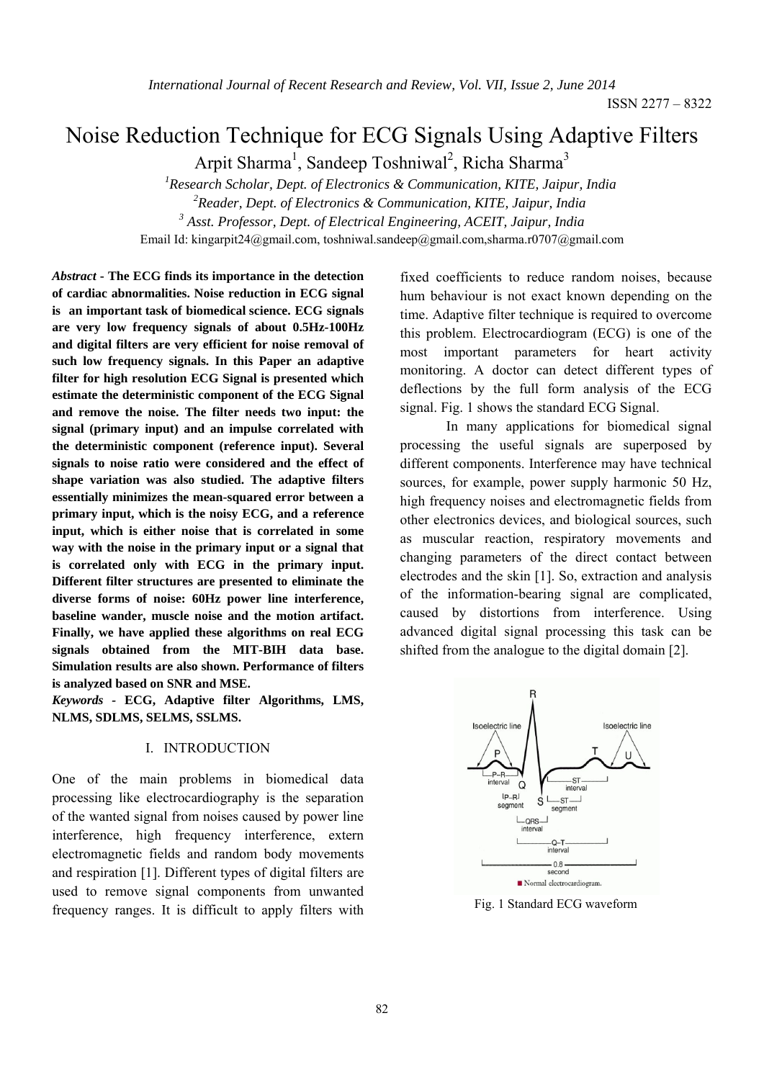# Noise Reduction Technique for ECG Signals Using Adaptive Filters

Arpit Sharma<sup>1</sup>, Sandeep Toshniwal<sup>2</sup>, Richa Sharma<sup>3</sup>

 *1Research Scholar, Dept. of Electronics & Communication, KITE, Jaipur, India 2Reader, Dept. of Electronics & Communication, KITE, Jaipur, India 3 Asst. Professor, Dept. of Electrical Engineering, ACEIT, Jaipur, India*  Email Id: kingarpit24@gmail.com, toshniwal.sandeep@gmail.com,sharma.r0707@gmail.com

*Abstract* **- The ECG finds its importance in the detection of cardiac abnormalities. Noise reduction in ECG signal is an important task of biomedical science. ECG signals are very low frequency signals of about 0.5Hz-100Hz and digital filters are very efficient for noise removal of such low frequency signals. In this Paper an adaptive filter for high resolution ECG Signal is presented which estimate the deterministic component of the ECG Signal and remove the noise. The filter needs two input: the signal (primary input) and an impulse correlated with the deterministic component (reference input). Several signals to noise ratio were considered and the effect of shape variation was also studied. The adaptive filters essentially minimizes the mean-squared error between a primary input, which is the noisy ECG, and a reference input, which is either noise that is correlated in some way with the noise in the primary input or a signal that is correlated only with ECG in the primary input. Different filter structures are presented to eliminate the diverse forms of noise: 60Hz power line interference, baseline wander, muscle noise and the motion artifact. Finally, we have applied these algorithms on real ECG signals obtained from the MIT-BIH data base. Simulation results are also shown. Performance of filters is analyzed based on SNR and MSE.** 

*Keywords -* **ECG, Adaptive filter Algorithms, LMS, NLMS, SDLMS, SELMS, SSLMS.** 

## I. INTRODUCTION

One of the main problems in biomedical data processing like electrocardiography is the separation of the wanted signal from noises caused by power line interference, high frequency interference, extern electromagnetic fields and random body movements and respiration [1]. Different types of digital filters are used to remove signal components from unwanted frequency ranges. It is difficult to apply filters with fixed coefficients to reduce random noises, because hum behaviour is not exact known depending on the time. Adaptive filter technique is required to overcome this problem. Electrocardiogram (ECG) is one of the most important parameters for heart activity monitoring. A doctor can detect different types of deflections by the full form analysis of the ECG signal. Fig. 1 shows the standard ECG Signal.

In many applications for biomedical signal processing the useful signals are superposed by different components. Interference may have technical sources, for example, power supply harmonic 50 Hz, high frequency noises and electromagnetic fields from other electronics devices, and biological sources, such as muscular reaction, respiratory movements and changing parameters of the direct contact between electrodes and the skin [1]. So, extraction and analysis of the information-bearing signal are complicated, caused by distortions from interference. Using advanced digital signal processing this task can be shifted from the analogue to the digital domain [2].



Fig. 1 Standard ECG waveform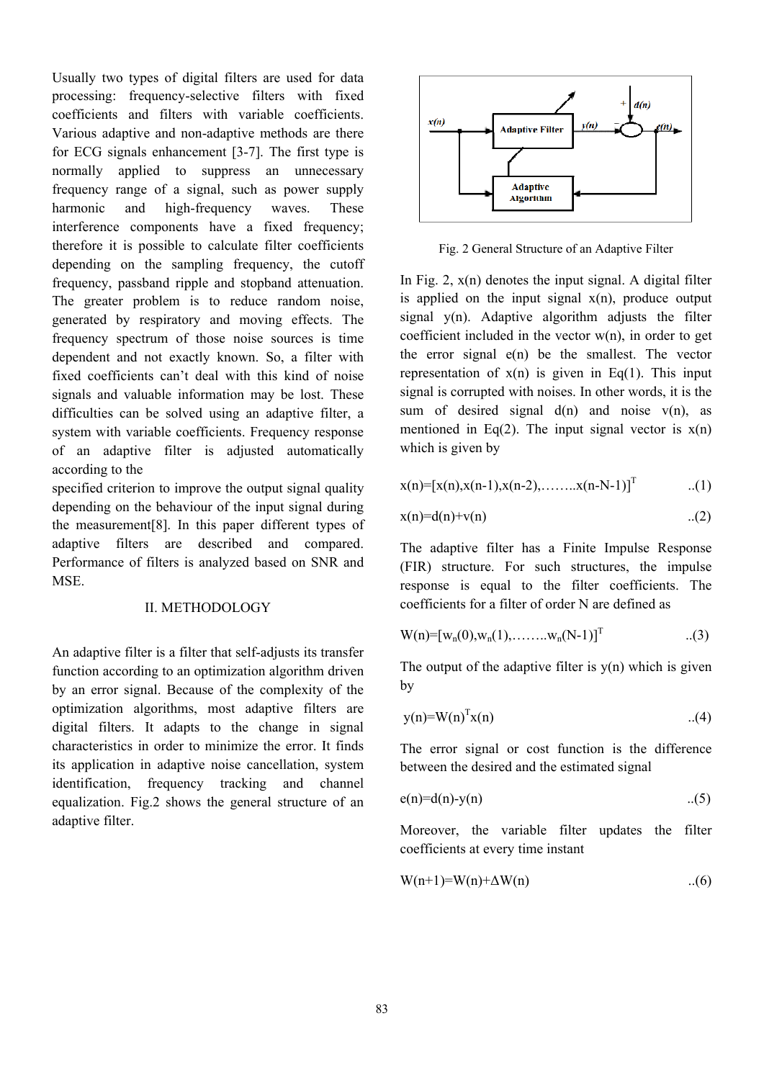Usually two types of digital filters are used for data processing: frequency-selective filters with fixed coefficients and filters with variable coefficients. Various adaptive and non-adaptive methods are there for ECG signals enhancement [3-7]. The first type is normally applied to suppress an unnecessary frequency range of a signal, such as power supply harmonic and high-frequency waves. These interference components have a fixed frequency; therefore it is possible to calculate filter coefficients depending on the sampling frequency, the cutoff frequency, passband ripple and stopband attenuation. The greater problem is to reduce random noise, generated by respiratory and moving effects. The frequency spectrum of those noise sources is time dependent and not exactly known. So, a filter with fixed coefficients can't deal with this kind of noise signals and valuable information may be lost. These difficulties can be solved using an adaptive filter, a system with variable coefficients. Frequency response of an adaptive filter is adjusted automatically according to the

specified criterion to improve the output signal quality depending on the behaviour of the input signal during the measurement[8]. In this paper different types of adaptive filters are described and compared. Performance of filters is analyzed based on SNR and MSE.

## II. METHODOLOGY

An adaptive filter is a filter that self-adjusts its transfer function according to an optimization algorithm driven by an error signal. Because of the complexity of the optimization algorithms, most adaptive filters are digital filters. It adapts to the change in signal characteristics in order to minimize the error. It finds its application in adaptive noise cancellation, system identification, frequency tracking and channel equalization. Fig.2 shows the general structure of an adaptive filter.



Fig. 2 General Structure of an Adaptive Filter

In Fig. 2,  $x(n)$  denotes the input signal. A digital filter is applied on the input signal  $x(n)$ , produce output signal y(n). Adaptive algorithm adjusts the filter coefficient included in the vector  $w(n)$ , in order to get the error signal  $e(n)$  be the smallest. The vector representation of  $x(n)$  is given in Eq(1). This input signal is corrupted with noises. In other words, it is the sum of desired signal  $d(n)$  and noise  $v(n)$ , as mentioned in Eq(2). The input signal vector is  $x(n)$ which is given by

$$
x(n) = [x(n), x(n-1), x(n-2), \dots, x(n-N-1)]^T
$$
 (1)

$$
x(n)=d(n)+v(n) \qquad \qquad ...(2)
$$

The adaptive filter has a Finite Impulse Response (FIR) structure. For such structures, the impulse response is equal to the filter coefficients. The coefficients for a filter of order N are defined as

$$
W(n) = [w_n(0), w_n(1), \dots, w_n(N-1)]^T
$$
 ...(3)

The output of the adaptive filter is  $y(n)$  which is given by

$$
y(n)=W(n)^{T}x(n) \qquad \qquad ...(4)
$$

The error signal or cost function is the difference between the desired and the estimated signal

$$
e(n)=d(n)-y(n) \qquad \qquad ...(5)
$$

Moreover, the variable filter updates the filter coefficients at every time instant

$$
W(n+1)=W(n)+\Delta W(n) \qquad \qquad ...(6)
$$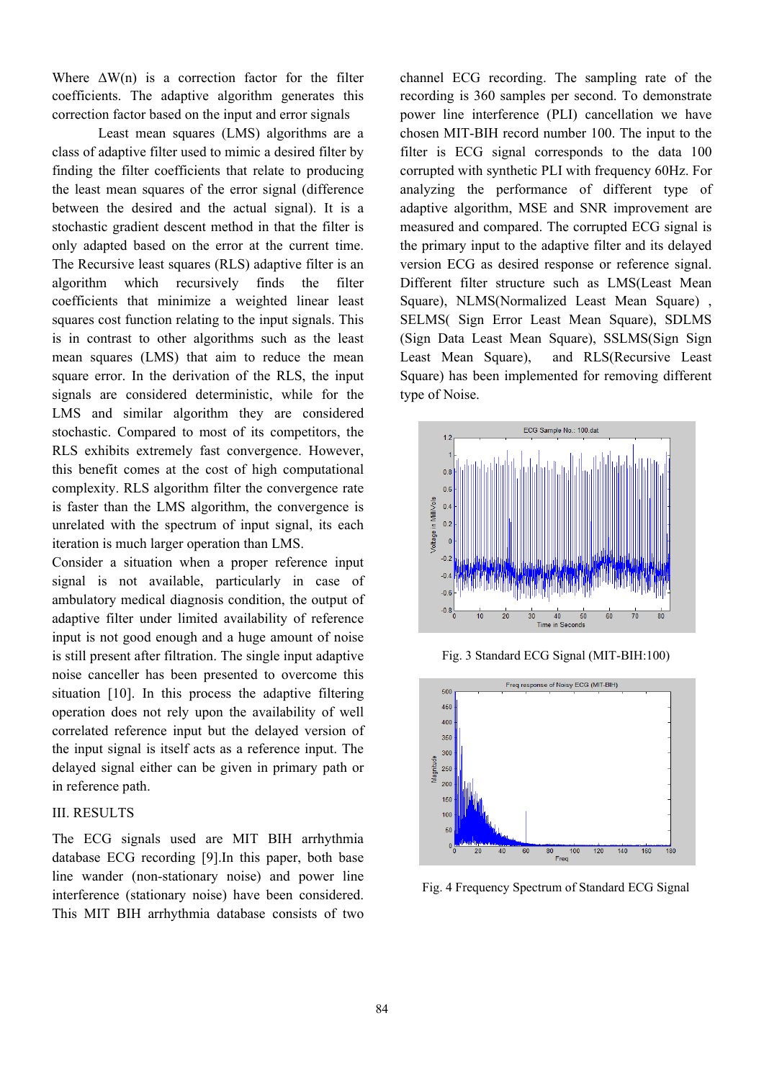Where  $\Delta W(n)$  is a correction factor for the filter coefficients. The adaptive algorithm generates this correction factor based on the input and error signals

Least mean squares (LMS) algorithms are a class of adaptive filter used to mimic a desired filter by finding the filter coefficients that relate to producing the least mean squares of the error signal (difference between the desired and the actual signal). It is a stochastic gradient descent method in that the filter is only adapted based on the error at the current time. The Recursive least squares (RLS) adaptive filter is an algorithm which recursively finds the filter coefficients that minimize a weighted linear least squares cost function relating to the input signals. This is in contrast to other algorithms such as the least mean squares (LMS) that aim to reduce the mean square error. In the derivation of the RLS, the input signals are considered deterministic, while for the LMS and similar algorithm they are considered stochastic. Compared to most of its competitors, the RLS exhibits extremely fast convergence. However, this benefit comes at the cost of high computational complexity. RLS algorithm filter the convergence rate is faster than the LMS algorithm, the convergence is unrelated with the spectrum of input signal, its each iteration is much larger operation than LMS.

Consider a situation when a proper reference input signal is not available, particularly in case of ambulatory medical diagnosis condition, the output of adaptive filter under limited availability of reference input is not good enough and a huge amount of noise is still present after filtration. The single input adaptive noise canceller has been presented to overcome this situation [10]. In this process the adaptive filtering operation does not rely upon the availability of well correlated reference input but the delayed version of the input signal is itself acts as a reference input. The delayed signal either can be given in primary path or in reference path.

# III. RESULTS

The ECG signals used are MIT BIH arrhythmia database ECG recording [9].In this paper, both base line wander (non-stationary noise) and power line interference (stationary noise) have been considered. This MIT BIH arrhythmia database consists of two channel ECG recording. The sampling rate of the recording is 360 samples per second. To demonstrate power line interference (PLI) cancellation we have chosen MIT-BIH record number 100. The input to the filter is ECG signal corresponds to the data 100 corrupted with synthetic PLI with frequency 60Hz. For analyzing the performance of different type of adaptive algorithm, MSE and SNR improvement are measured and compared. The corrupted ECG signal is the primary input to the adaptive filter and its delayed version ECG as desired response or reference signal. Different filter structure such as LMS(Least Mean Square), NLMS(Normalized Least Mean Square) , SELMS( Sign Error Least Mean Square), SDLMS (Sign Data Least Mean Square), SSLMS(Sign Sign Least Mean Square), and RLS(Recursive Least Square) has been implemented for removing different type of Noise.



Fig. 3 Standard ECG Signal (MIT-BIH:100)



Fig. 4 Frequency Spectrum of Standard ECG Signal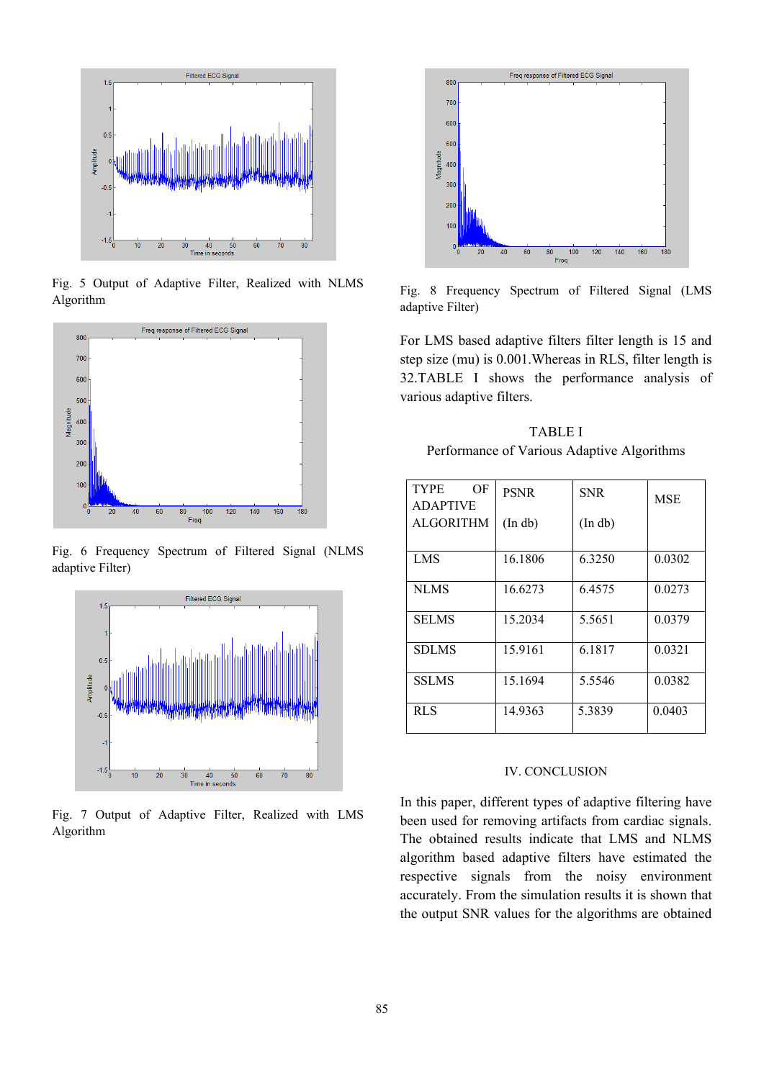

Fig. 5 Output of Adaptive Filter, Realized with NLMS Algorithm



Fig. 6 Frequency Spectrum of Filtered Signal (NLMS adaptive Filter)



Fig. 7 Output of Adaptive Filter, Realized with LMS Algorithm



Fig. 8 Frequency Spectrum of Filtered Signal (LMS adaptive Filter)

For LMS based adaptive filters filter length is 15 and step size (mu) is 0.001.Whereas in RLS, filter length is 32.TABLE I shows the performance analysis of various adaptive filters.

TABLE I Performance of Various Adaptive Algorithms

| <b>TYPE</b><br>OF<br><b>ADAPTIVE</b><br><b>ALGORITHM</b> | <b>PSNR</b><br>(In db) | <b>SNR</b><br>(In db) | <b>MSE</b> |
|----------------------------------------------------------|------------------------|-----------------------|------------|
| <b>LMS</b>                                               | 16.1806                | 6.3250                | 0.0302     |
| <b>NLMS</b>                                              | 16.6273                | 6.4575                | 0.0273     |
| <b>SELMS</b>                                             | 15.2034                | 5.5651                | 0.0379     |
| <b>SDLMS</b>                                             | 15.9161                | 6.1817                | 0.0321     |
| <b>SSLMS</b>                                             | 15.1694                | 5.5546                | 0.0382     |
| <b>RLS</b>                                               | 14.9363                | 5.3839                | 0.0403     |

#### IV. CONCLUSION

In this paper, different types of adaptive filtering have been used for removing artifacts from cardiac signals. The obtained results indicate that LMS and NLMS algorithm based adaptive filters have estimated the respective signals from the noisy environment accurately. From the simulation results it is shown that the output SNR values for the algorithms are obtained